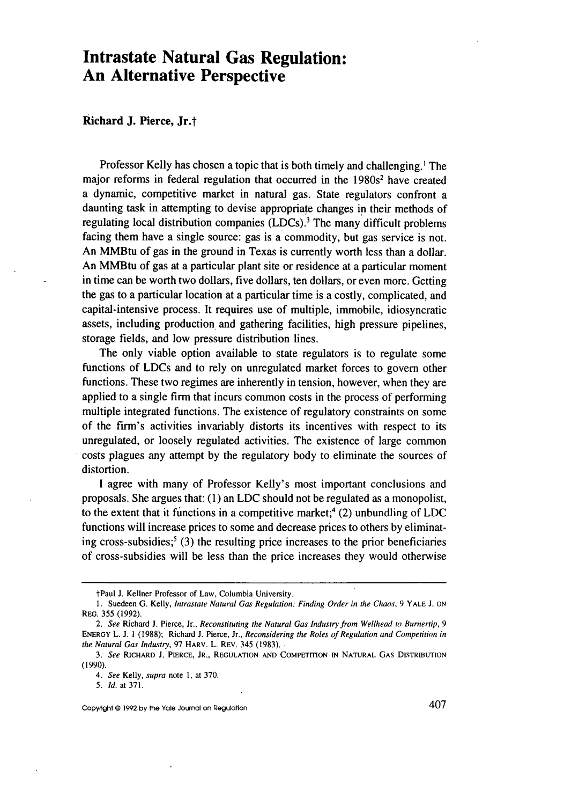# **Intrastate Natural Gas Regulation: An Alternative Perspective**

## Richard **J. Pierce, Jr.t**

Professor Kelly has chosen a topic that is both timely and challenging.' The major reforms in federal regulation that occurred in the 1980s<sup>2</sup> have created a dynamic, competitive market in natural gas. State regulators confront a daunting task in attempting to devise appropriate changes in their methods of regulating local distribution companies  $(LDCs)$ .<sup>3</sup> The many difficult problems facing them have a single source: gas is a commodity, but gas service is not. An MMBtu of gas in the ground in Texas is currently worth less than a dollar. An MMBtu of gas at a particular plant site or residence at a particular moment in time can be worth two dollars, five dollars, ten dollars, or even more. Getting the gas to a particular location at a particular time is a costly, complicated, and capital-intensive process. It requires use of multiple, immobile, idiosyncratic assets, including production and gathering facilities, high pressure pipelines, storage fields, and low pressure distribution lines.

The only viable option available to state regulators is to regulate some functions of LDCs and to rely on unregulated market forces to govern other functions. These two regimes are inherently in tension, however, when they are applied to a single firm that incurs common costs in the process of performing multiple integrated functions. The existence of regulatory constraints on some of the firm's activities invariably distorts its incentives with respect to its unregulated, or loosely regulated activities. The existence of large common costs plagues any attempt **by** the regulatory body to eliminate the sources of distortion.

**I** agree with many of Professor Kelly's most important conclusions and proposals. She argues that: **(1)** an **LDC** should not be regulated as a monopolist, to the extent that it functions in a competitive market;4 (2) unbundling of **LDC** functions will increase prices to some and decrease prices to others **by** eliminating cross-subsidies;5 **(3)** the resulting price increases to the prior beneficiaries of cross-subsidies will be less than the price increases they would otherwise

tPaul **J.** Kellner Professor of Law, Columbia University.

**<sup>1.</sup>** Suedeen **G.** Kelly, Intrastate Natural Gas Regulation: Finding Order in the Chaos, **9 YALE J. ON** REG. **355 (1992).**

*<sup>2.</sup>* See Richard **J.** Pierce, Jr., Reconstituting the Natural Gas Industry from Wellhead to Burnertip, *9* **ENERGY** L. **J. 1** (1988); Richard J. Pierce, Jr., Reconsidering the Roles of Regulation and Competition in the Natural Gas Industry, 97 HARV. L. REV. 345 (1983).

*<sup>3.</sup> See* RICHARD J. PIERCE, JR., **REGULATION AND COMPETITION IN NATURAL** GAS **DISTRIBUTION** (1990).

*<sup>4.</sup>* See Kelly, supra note **1,** at 370.

*<sup>5.</sup>* **Id.** at **371.**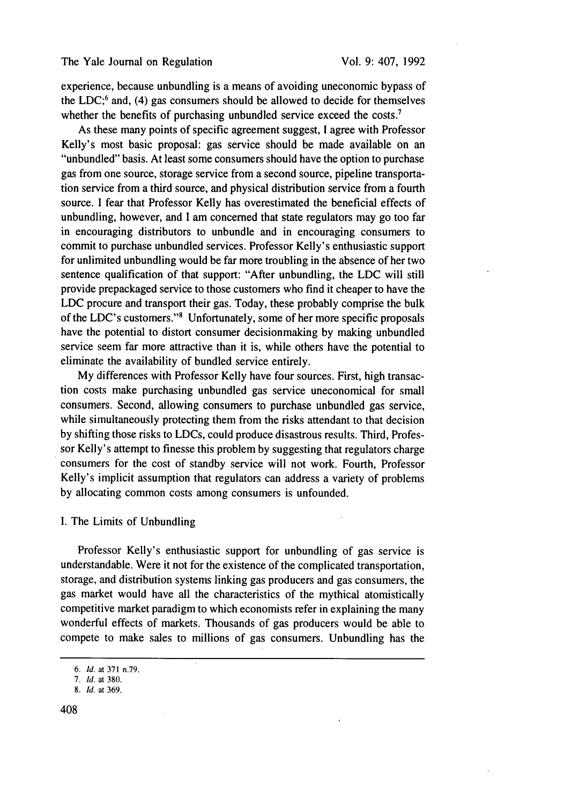experience, because unbundling is a means of avoiding uneconomic bypass of the LDC $;^{6}$  and, (4) gas consumers should be allowed to decide for themselves whether the benefits of purchasing unbundled service exceed the costs.<sup>7</sup>

As these many points of specific agreement suggest, I agree with Professor Kelly's most basic proposal: gas service should be made available on an "unbundled" basis. At least some consumers should have the option to purchase gas from one source, storage service from a second source, pipeline transportation service from a third source, and physical distribution service from a fourth source. I fear that Professor Kelly has overestimated the beneficial effects of unbundling, however, and I am concerned that state regulators may go too far in encouraging distributors to unbundle and in encouraging consumers to commit to purchase unbundled services. Professor Kelly's enthusiastic support for unlimited unbundling would be far more troubling in the absence of her two sentence qualification of that support: "After unbundling, the LDC will still provide prepackaged service to those customers who find it cheaper to have the LDC procure and transport their gas. Today, these probably comprise the bulk of the LDC's customers."8 Unfortunately, some of her more specific proposals have the potential to distort consumer decisionmaking by making unbundled service seem far more attractive than it is, while others have the potential to eliminate the availability of bundled service entirely.

My differences with Professor Kelly have four sources. First, high transaction costs make purchasing unbundled gas service uneconomical for small consumers. Second, allowing consumers to purchase unbundled gas service, while simultaneously protecting them from the risks attendant to that decision by shifting those risks to LDCs, could produce disastrous results. Third, Professor Kelly's attempt to finesse this problem by suggesting that regulators charge consumers for the cost of standby service will not work. Fourth, Professor Kelly's implicit assumption that regulators can address a variety of problems by allocating common costs among consumers is unfounded.

## I. The Limits of Unbundling

Professor Kelly's enthusiastic support for unbundling of gas service is understandable. Were it not for the existence of the complicated transportation, storage, and distribution systems linking gas producers and gas consumers, the gas market would have all the characteristics of the mythical atomistically competitive market paradigm to which economists refer in explaining the many wonderful effects of markets. Thousands of gas producers would be able to compete to make sales to millions of gas consumers. Unbundling has the

<sup>6.</sup> Id. at 371 n.79.

<sup>7.</sup> **Id.** at 380.

<sup>8.</sup> Id. at 369.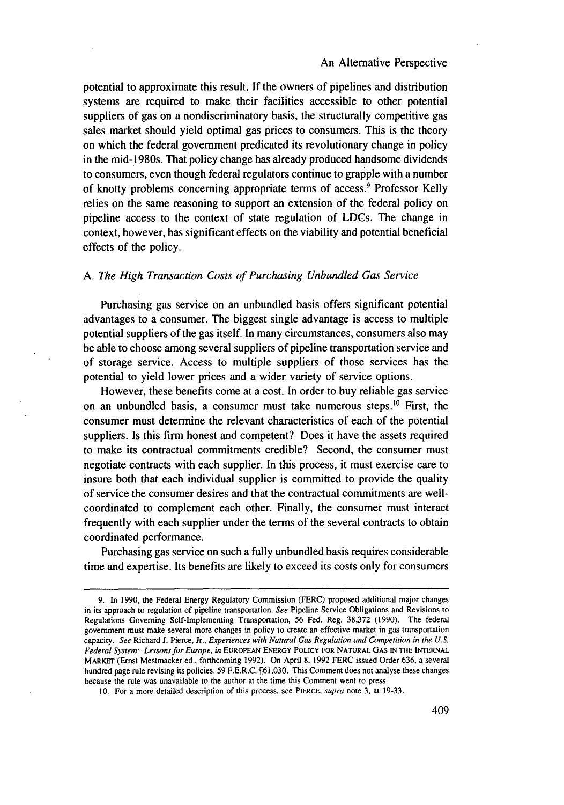### An Alternative Perspective

potential to approximate this result. If the owners of pipelines and distribution systems are required to make their facilities accessible to other potential suppliers of gas on a nondiscriminatory basis, the structurally competitive gas sales market should yield optimal gas prices to consumers. This is the theory on which the federal government predicated its revolutionary change in policy in the mid-1980s. That policy change has already produced handsome dividends to consumers, even though federal regulators continue to grapple with a number of knotty problems concerning appropriate terms of access.' Professor Kelly relies on the same reasoning to support an extension of the federal policy on pipeline access to the context of state regulation of LDCs. The change in context, however, has significant effects on the viability and potential beneficial effects of the policy.

## *A. The High Transaction Costs of Purchasing Unbundled Gas Service*

Purchasing gas service on an unbundled basis offers significant potential advantages to a consumer. The biggest single advantage is access to multiple potential suppliers of the gas itself. In many circumstances, consumers also may be able to choose among several suppliers of pipeline transportation service and of storage service. Access to multiple suppliers of those services has the potential to yield lower prices and a wider variety of service options.

However, these benefits come at a cost. In order to buy reliable gas service on an unbundled basis, a consumer must take numerous steps. 10 First, the consumer must determine the relevant characteristics of each of the potential suppliers. Is this firm honest and competent? Does it have the assets required to make its contractual commitments credible? Second, the consumer must negotiate contracts with each supplier. In this process, it must exercise care to insure both that each individual supplier is committed to provide the quality of service the consumer desires and that the contractual commitments are wellcoordinated to complement each other. Finally, the consumer must interact frequently with each supplier under the terms of the several contracts to obtain coordinated performance.

Purchasing gas service on such a fully unbundled basis requires considerable time and expertise. Its benefits are likely to exceed its costs only for consumers

<sup>9.</sup> In 1990, the Federal Energy Regulatory Commission (FERC) proposed additional major changes in its approach to regulation of pipeline transportation. See Pipeline Service Obligations and Revisions to Regulations Governing Self-Implementing Transportation, 56 Fed. Reg. 38,372 (1990). The federal government must make several more changes in policy to create an effective market in gas transportation capacity. See Richard J. Pierce, Jr., Experiences with Natural *Gas Regulation and Competition in the U.S.* Federal System: Lessons for Europe, in EUROPEAN ENERGY POLICY **FOR NATURAL GAS** IN **THE INTERNAL** MARKET (Ernst Mestmacker ed., forthcoming 1992). On April **8,** 1992 FERC issued Order 636, a several hundred page rule revising its policies. 59 F.E.R.C. \[61,030. This Comment does not analyse these changes because the rule was unavailable to the author at the time this Comment went to press.

**<sup>10.</sup>** For a more detailed description of this process, see PIERCE, *supra* note **3,** at 19-33.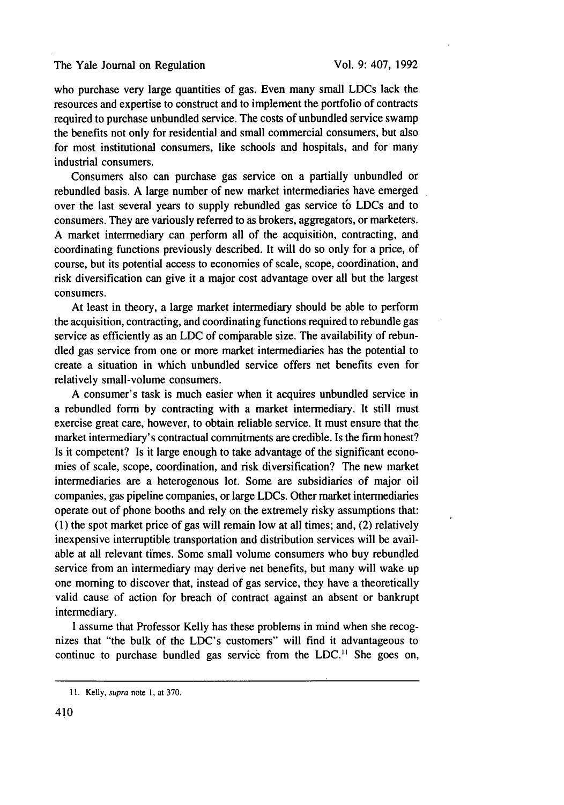#### The Yale Journal on Regulation

who purchase very large quantities of gas. Even many small LDCs lack the resources and expertise to construct and to implement the portfolio of contracts required to purchase unbundled service. The costs of unbundled service swamp the benefits not only for residential and small commercial consumers, but also for most institutional consumers, like schools and hospitals, and for many industrial consumers.

Consumers also can purchase gas service on a partially unbundled or rebundled basis. A large number of new market intermediaries have emerged over the last several years to supply rebundled gas service to LDCs and to consumers. They are variously referred to as brokers, aggregators, or marketers. A market intermediary can perform all of the acquisition, contracting, and coordinating functions previously described. It will do so only for a price, of course, but its potential access to economies of scale, scope, coordination, and risk diversification can give it a major cost advantage over all but the largest consumers.

At least in theory, a large market intermediary should be able to perform the acquisition, contracting, and coordinating functions required to rebundle gas service as efficiently as an LDC of comparable size. The availability of rebundled gas service from one or more market intermediaries has the potential to create a situation in which unbundled service offers net benefits even for relatively small-volume consumers.

A consumer's task is much easier when it acquires unbundled service in a rebundled form by contracting with a market intermediary. It still must exercise great care, however, to obtain reliable service. It must ensure that the market intermediary's contractual commitments are credible. Is the firm honest? Is it competent? Is it large enough to take advantage of the significant economies of scale, scope, coordination, and risk diversification? The new market intermediaries are a heterogenous lot. Some are subsidiaries of major oil companies, gas pipeline companies, or large LDCs. Other market intermediaries operate out of phone booths and rely on the extremely risky assumptions that: **(1)** the spot market price of gas will remain low at all times; and, (2) relatively inexpensive interruptible transportation and distribution services will be available at all relevant times. Some small volume consumers who buy rebundled service from an intermediary may derive net benefits, but many will wake up one morning to discover that, instead of gas service, they have a theoretically valid cause of action for breach of contract against an absent or bankrupt intermediary.

I assume that Professor Kelly has these problems in mind when she recognizes that "the bulk of the LDC's customers" will find it advantageous to continue to purchase bundled gas service from the LDC.<sup>11</sup> She goes on,

<sup>11.</sup> Kelly, supra note **1,** at 370.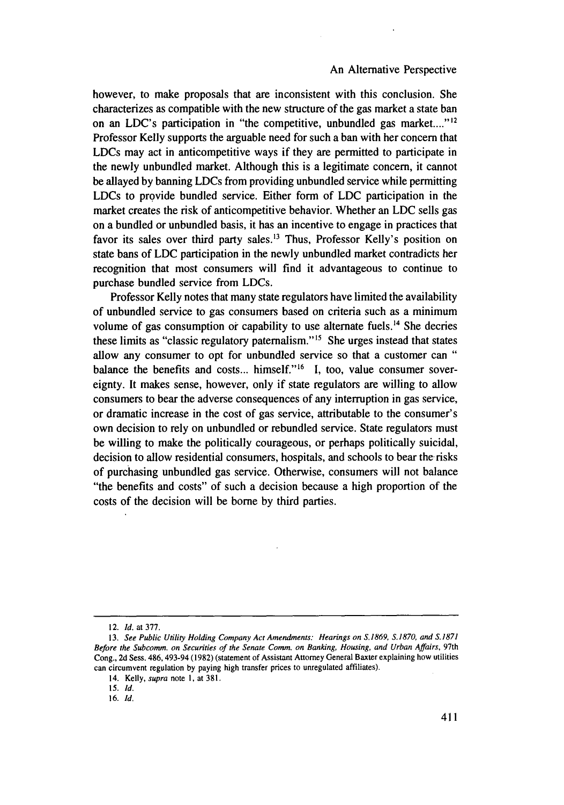#### An Alternative Perspective

however, to make proposals that are inconsistent with this conclusion. She characterizes as compatible with the new structure of the gas market a state ban on an LDC's participation in "the competitive, unbundled gas market...." $^{12}$ Professor Kelly supports the arguable need for such a ban with her concern that LDCs may act in anticompetitive ways if they are permitted to participate in the newly unbundled market. Although this is a legitimate concern, it cannot be allayed by banning LDCs from providing unbundled service while permitting LDCs to provide bundled service. Either form of LDC participation in the market creates the risk of anticompetitive behavior. Whether an LDC sells gas on a bundled or unbundled basis, it has an incentive to engage in practices that favor its sales over third party sales.'3 Thus, Professor Kelly's position on state bans of LDC participation in the newly unbundled market contradicts her recognition that most consumers will find it advantageous to continue to purchase bundled service from LDCs.

Professor Kelly notes that many state regulators have limited the availability of unbundled service to gas consumers based on criteria such as a minimum volume of gas consumption or capability to use alternate fuels.<sup> $14$ </sup> She decries these limits as "classic regulatory paternalism."<sup>15</sup> She urges instead that states allow any consumer to opt for unbundled service so that a customer can **"** balance the benefits and costs... himself."<sup>16</sup> I, too, value consumer sovereignty. It makes sense, however, only if state regulators are willing to allow consumers to bear the adverse consequences of any interruption in gas service, or dramatic increase in the cost of gas service, attributable to the consumer's own decision to rely on unbundled or rebundled service. State regulators must be willing to make the politically courageous, or perhaps politically suicidal, decision to allow residential consumers, hospitals, and schools to bear the risks of purchasing unbundled gas service. Otherwise, consumers will not balance "the benefits and costs" of such a decision because a high proportion of the costs of the decision will be borne by third parties.

<sup>12.</sup> *Id.* at 377.

**<sup>13.</sup>** *See Public Utility Holding Company Act Amendments: Hearings on S.1869, S.1870, and S.1871* Before the Subcomm. on Securities of the Senate Comm. on Banking, Housing, and Urban Affairs, 97th Cong., 2d Sess. 486, 493-94 (1982) (statement of Assistant Attorney General Baxter explaining how utilities can circumvent regulation by paying high transfer prices to unregulated affiliates).

<sup>14.</sup> Kelly, *supra* note I, at 381.

<sup>15.</sup> Id.

<sup>16.</sup> **Id.**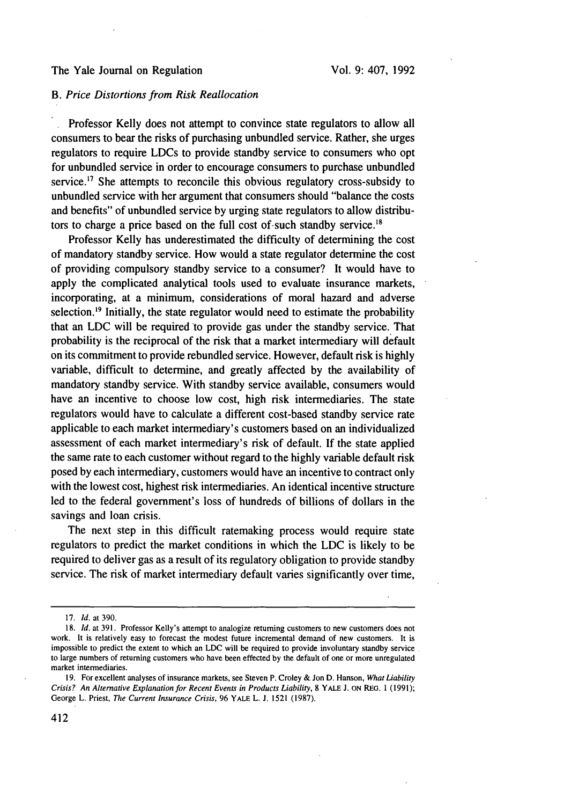## The Yale Journal on Regulation

## *B. Price Distortions from Risk Reallocation*

Professor Kelly does not attempt to convince state regulators to allow all consumers to bear the risks of purchasing unbundled service. Rather, she urges regulators to require LDCs to provide standby service to consumers who opt for unbundled service in order to encourage consumers to purchase unbundled service.<sup>17</sup> She attempts to reconcile this obvious regulatory cross-subsidy to unbundled service with her argument that consumers should "balance the costs and benefits" of unbundled service by urging state regulators to allow distributors to charge a price based on the full cost of such standby service.<sup>18</sup>

Professor Kelly has underestimated the difficulty of determining the cost of mandatory standby service. How would a state regulator determine the cost of providing compulsory standby service to a consumer? It would have to apply the complicated analytical tools used to evaluate insurance markets, incorporating, at a minimum, considerations of moral hazard and adverse selection.<sup>19</sup> Initially, the state regulator would need to estimate the probability that an LDC will be required to provide gas under the standby service. That probability is the reciprocal of the risk that a market intermediary will default on its commitment to provide rebundled service. However, default risk is highly variable, difficult to determine, and greatly affected by the availability of mandatory standby service. With standby service available, consumers would have an incentive to choose low cost, high risk intermediaries. The state regulators would have to calculate a different cost-based standby service rate applicable to each market intermediary's customers based on an individualized assessment of each market intermediary's risk of default. If the state applied the same rate to each customer without regard to the highly variable default risk posed by each intermediary, customers would have an incentive to contract only with the lowest cost, highest risk intermediaries. An identical incentive structure led to the federal government's loss of hundreds of billions of dollars in the savings and loan crisis.

The next step in this difficult ratemaking process would require state regulators to predict the market conditions in which the LDC is likely to be required to deliver gas as a result of its regulatory obligation to provide standby service. The risk of market intermediary default varies significantly over time,

<sup>17.</sup> *Id.* at 390.

<sup>18.</sup> *Id.* at 391. Professor Kelly's attempt to analogize returning customers to new customers does not work. It is relatively easy to forecast the modest future incremental demand of new customers. It is impossible to predict the extent to which an LDC will be required to provide involuntary standby service to large numbers of returning customers who have been effected by the default of one or more unregulated market intermediaries.

<sup>19.</sup> For excellent analyses of insurance markets, see Steven P. Croley & *Jon* D. Hanson, *What Liability Crisis?* An Alternative Explanation *for* Recent Events in Products Liability, **8** YALE **J. ON** REG. 1 (1991); George L. Priest, *The Current* Insurance Crisis, 96 YALE L. **J.** 1521 (1987).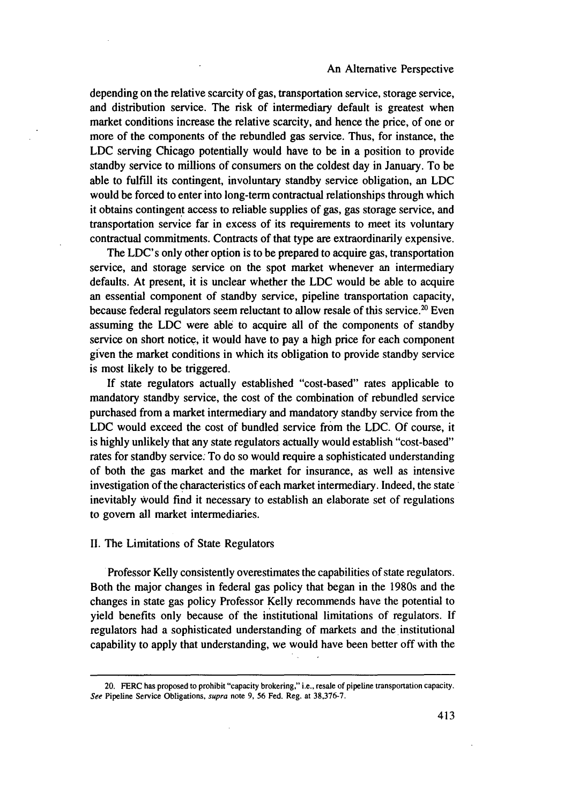depending on the relative scarcity of gas, transportation service, storage service, and distribution service. The risk of intermediary default is greatest when market conditions increase the relative scarcity, and hence the price, of one or more of the components of the rebundled gas service. Thus, for instance, the LDC serving Chicago potentially would have to be in a position to provide standby service to millions of consumers on the coldest day in January. To be able to fulfill its contingent, involuntary standby service obligation, an LDC would be forced to enter into long-term contractual relationships through which it obtains contingent access to reliable supplies of gas, gas storage service, and transportation service far in excess of its requirements to meet its voluntary contractual commitments. Contracts of that type are extraordinarily expensive.

The LDC's only other option is to be prepared to acquire gas, transportation service, and storage service on the spot market whenever an intermediary defaults. At present, it is unclear whether the LDC would be able to acquire an essential component of standby service, pipeline transportation capacity, because federal regulators seem reluctant to allow resale of this service.<sup>20</sup> Even assuming the LDC were able to acquire all of the components of standby service on short notice, it would have to pay a high price for each component given the market conditions in which its obligation to provide standby service is most likely to be triggered.

If state regulators actually established "cost-based" rates applicable to mandatory standby service, the cost of the combination of rebundled service purchased from a market intermediary and mandatory standby service from the LDC would exceed the cost of bundled service from the LDC. Of course, it is highly unlikely that any state regulators actually would establish "cost-based" rates for standby service. To do so would require a sophisticated understanding of both the gas market and the market for insurance, as well as intensive investigation of the characteristics of each market intermediary. Indeed, the state inevitably Would find it necessary to establish an elaborate set of regulations to govern all market intermediaries.

#### **I1.** The Limitations of State Regulators

Professor Kelly consistently overestimates the capabilities of state regulators. Both the major changes in federal gas policy that began in the 1980s and the changes in state gas policy Professor Kelly recommends have the potential to yield benefits only because of the institutional limitations of regulators. If regulators had a sophisticated understanding of markets and the institutional capability to apply that understanding, we would have been better off with the

<sup>20.</sup> FERC has proposed to prohibit "capacity brokering," i.e., resale of pipeline transportation capacity. **See** Pipeline Service Obligations, supra note 9, 56 Fed. Reg. at 38,376-7.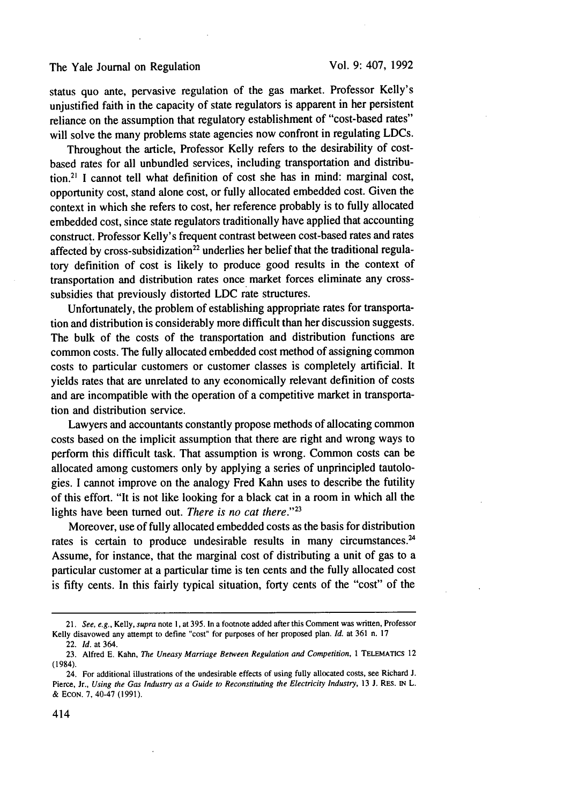## The Yale Journal on Regulation

status quo ante, pervasive regulation of the gas market. Professor Kelly's unjustified faith in the capacity of state regulators is apparent in her persistent reliance on the assumption that regulatory establishment of "cost-based rates" will solve the many problems state agencies now confront in regulating LDCs.

Throughout the article, Professor Kelly refers to the desirability of costbased rates for all unbundled services, including transportation and distribution.<sup>2</sup> ' I cannot tell what definition of cost she has in mind: marginal cost, opportunity cost, stand alone cost, or fully allocated embedded cost. Given the context in which she refers to cost, her reference probably is to fully allocated embedded cost, since state regulators traditionally have applied that accounting construct. Professor Kelly's frequent contrast between cost-based rates and rates affected by cross-subsidization<sup>22</sup> underlies her belief that the traditional regulatory definition of cost is likely to produce good results in the context of transportation and distribution rates once market forces eliminate any crosssubsidies that previously distorted LDC rate structures.

Unfortunately, the problem of establishing appropriate rates for transportation and distribution is considerably more difficult than her discussion suggests. The bulk of the costs of the transportation and distribution functions are common costs. The fully allocated embedded cost method of assigning common costs to particular customers or customer classes is completely artificial. It yields rates that are unrelated to any economically relevant definition of costs and are incompatible with the operation of a competitive market in transportation and distribution service.

Lawyers and accountants constantly propose methods of allocating common costs based on the implicit assumption that there are right and wrong ways to perform this difficult task. That assumption is wrong. Common costs can be allocated among customers only by applying a series of unprincipled tautologies. I cannot improve on the analogy Fred Kahn uses to describe the futility of this effort. "It is not like looking for a black cat in a room in which all the lights have been turned out. *There is no cat there."23*

Moreover, use of fully allocated embedded costs as the basis for distribution rates is certain to produce undesirable results in many circumstances.<sup>24</sup> Assume, for instance, that the marginal cost of distributing a unit of gas to a particular customer at a particular time is ten cents and the fully allocated cost is fifty cents. In this fairly typical situation, forty cents of the "cost" of the

<sup>21.</sup> *See, e.g.,* Kelly, *supra* note 1, at 395. In a footnote added after this Comment was written, Professor Kelly disavowed any attempt to define "cost" for purposes of her proposed plan. *Id.* at 361 n. 17

<sup>22.</sup> *Id.* at 364.

<sup>23.</sup> Alfred E. Kahn, *The Uneasy Marriage Between Regulation and Competition, I* TELEMATICS 12 (1984).

<sup>24.</sup> For additional illustrations of the undesirable effects of using fully allocated costs, see Richard J. Pierce, Jr., *Using the Gas Industry as a Guide to Reconstituting the Electricity Industry,* 13 J. RES. **IN** L. & **ECON. 7,** 40-47 (1991).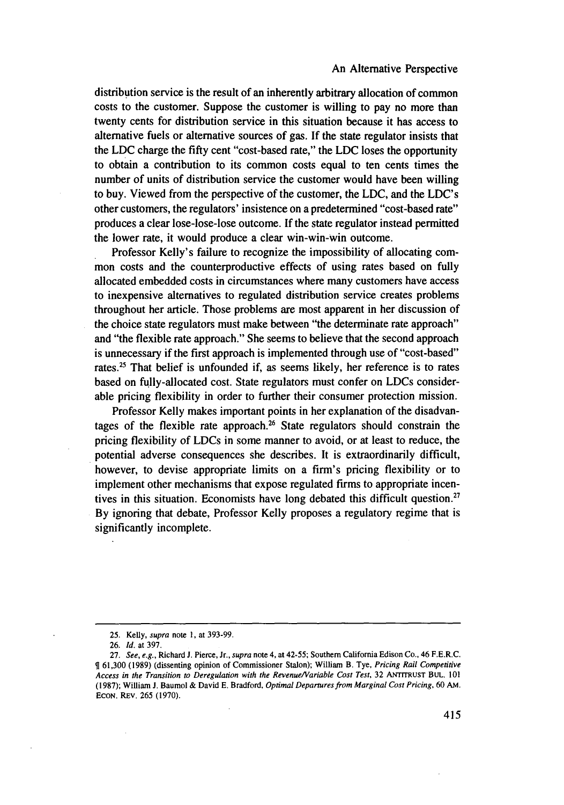distribution service is the result of an inherently arbitrary allocation of common costs to the customer. Suppose the customer is willing to pay no more than twenty cents for distribution service in this situation because it has access to alternative fuels or alternative sources of gas. If the state regulator insists that the LDC charge the fifty cent "cost-based rate," the LDC loses the opportunity to obtain a contribution to its common costs equal to ten cents times the number of units of distribution service the customer would have been willing to buy. Viewed from the perspective of the customer, the LDC, and the LDC's other customers, the regulators' insistence on a predetermined "cost-based rate" produces a clear lose-lose-lose outcome. If the state regulator instead permitted the lower rate, it would produce a clear win-win-win outcome.

Professor Kelly's failure to recognize the impossibility of allocating common costs and the counterproductive effects of using rates based on fully allocated embedded costs in circumstances where many customers have access to inexpensive alternatives to regulated distribution service creates problems throughout her article. Those problems are most apparent in her discussion of the choice state regulators must make between "the determinate rate approach" and "the flexible rate approach." She seems to believe that the second approach is unnecessary if the first approach is implemented through use of "cost-based" rates.25 That belief is unfounded if, as seems likely, her reference is to rates based on fully-allocated cost. State regulators must confer on LDCs considerable pricing flexibility in order to further their consumer protection mission.

Professor Kelly makes important points in her explanation of the disadvantages of the flexible rate approach.26 State regulators should constrain the pricing flexibility of LDCs in some manner to avoid, or at least to reduce, the potential adverse consequences she describes. It is extraordinarily difficult, however, to devise appropriate limits on a firm's pricing flexibility or to implement other mechanisms that expose regulated firms to appropriate incentives in this situation. Economists have long debated this difficult question.<sup>27</sup> By ignoring that debate, Professor Kelly proposes a regulatory regime that is significantly incomplete.

<sup>25.</sup> Kelly, *supra* note 1, at 393-99.

**<sup>26.</sup>** Id. at 397.

<sup>27.</sup> See, e.g., Richard J. Pierce, Jr., supra note 4, at 42-55; Southern California Edison Co., 46 F.E.R.C. 161,300 (1989) (dissenting opinion of Commissioner Stalon); William B. Tye, *Pricing Rail Competitive* Access in the *Transition to Deregulation with* the *Revenue/Variable Cost Test,* 32 ANTITRUST **BUL.** 101 (1987); William **J.** Baumol & David **E.** Bradford, *Optimal Departures from Marginal Cost Pricing,* 60 **AM.** ECON. REV. 265 (1970).